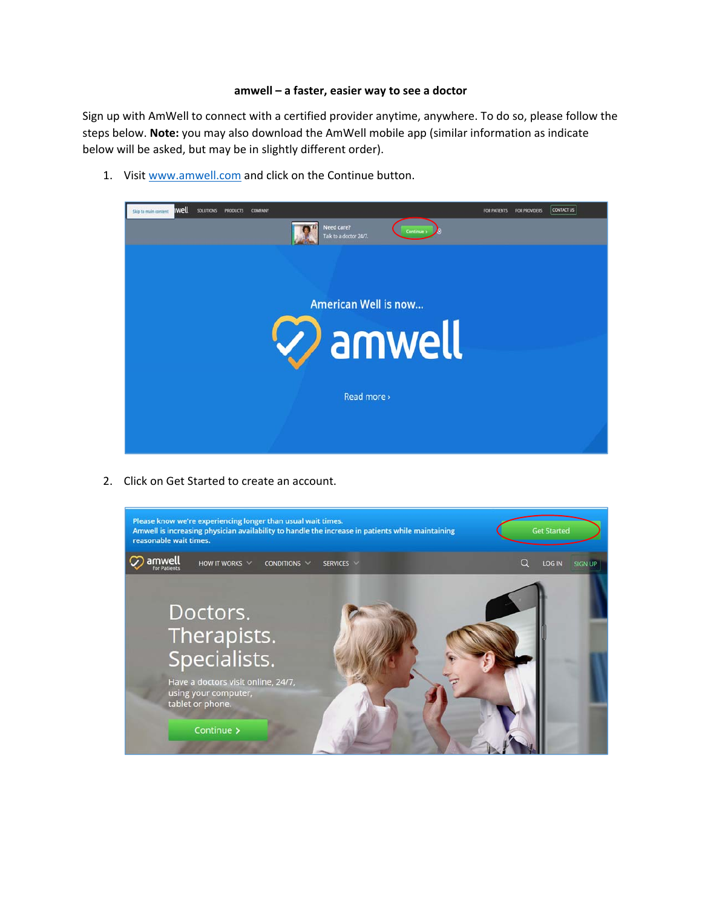## **amwell – a faster, easier way to see a doctor**

Sign up with AmWell to connect with a certified provider anytime, anywhere. To do so, please follow the steps below. **Note:** you may also download the AmWell mobile app (similar information as indicate below will be asked, but may be in slightly different order).

1. Visit www.amwell.com and click on the Continue button.



2. Click on Get Started to create an account.

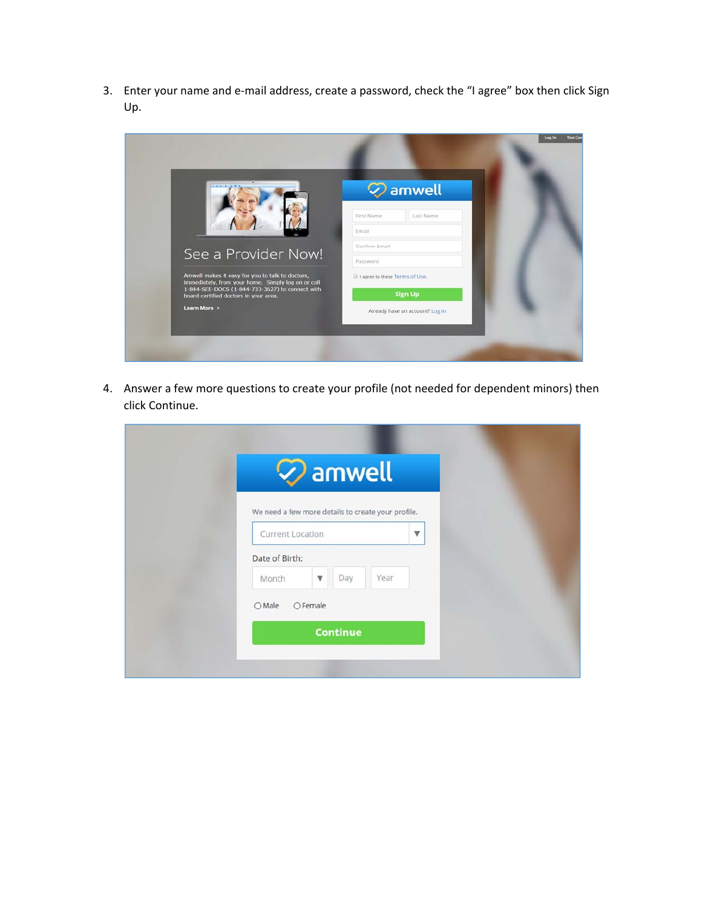3. Enter your name and e‐mail address, create a password, check the "I agree" box then click Sign Up.

| <b>EL 2014 / 1719</b>                                                                                  | $\oslash$ amwell                  |  |
|--------------------------------------------------------------------------------------------------------|-----------------------------------|--|
|                                                                                                        | Last Name<br>First Name           |  |
|                                                                                                        | Email                             |  |
| See a Provider Now!                                                                                    | Confirm Email                     |  |
|                                                                                                        | Password                          |  |
| Amwell makes it easy for you to talk to doctors,<br>immediately, from your home. Simply log on or call | Il I agree to these Terms of Use. |  |
| 1-844-SEE-DOCS (1-844-733-3627) to connect with<br>board-certified doctors in your area.               | <b>Sign Up</b>                    |  |
| Learn More >                                                                                           | Already have an account? Log In   |  |

4. Answer a few more questions to create your profile (not needed for dependent minors) then click Continue.

|                  | $\oslash$ amwell                                   |                         |  |
|------------------|----------------------------------------------------|-------------------------|--|
|                  | We need a few more details to create your profile. |                         |  |
| Current Location |                                                    | $\overline{\mathbf{v}}$ |  |
| Date of Birth:   |                                                    |                         |  |
| Month            | Day<br>$\boldsymbol{\triangledown}$                | Year                    |  |
| OMale            | OFemale                                            |                         |  |
|                  | <b>Continue</b>                                    |                         |  |
|                  |                                                    |                         |  |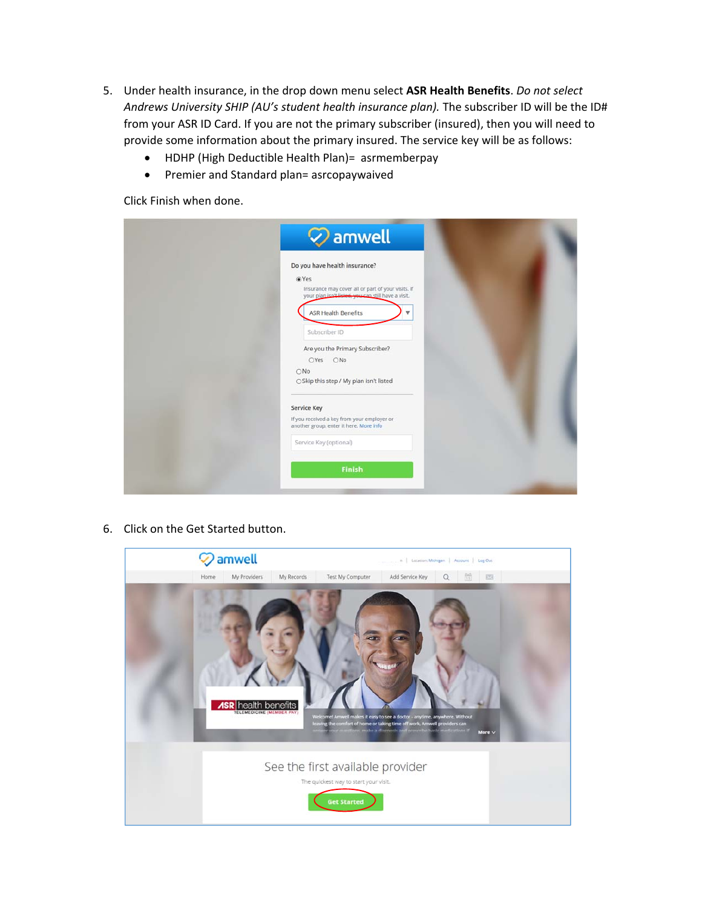- 5. Under health insurance, in the drop down menu select **ASR Health Benefits**. *Do not select Andrews University SHIP (AU's student health insurance plan).* The subscriber ID will be the ID# from your ASR ID Card. If you are not the primary subscriber (insured), then you will need to provide some information about the primary insured. The service key will be as follows:
	- HDHP (High Deductible Health Plan)= asrmemberpay
	- Premier and Standard plan= asrcopaywaived

Click Finish when done.

| Do you have health insurance?                                                                             |  |
|-----------------------------------------------------------------------------------------------------------|--|
| O Yes                                                                                                     |  |
| Insurance may cover all or part of your visits. If<br>your plan isn't listed, you can still have a visit. |  |
|                                                                                                           |  |
| <b>ASR Health Benefits</b><br>$\overline{\mathbf{v}}$                                                     |  |
| Subscriber ID                                                                                             |  |
|                                                                                                           |  |
| Are you the Primary Subscriber?                                                                           |  |
| OYes ONo                                                                                                  |  |
| ONo                                                                                                       |  |
| ○ Skip this step / My plan isn't listed                                                                   |  |
|                                                                                                           |  |
| <b>Service Key</b>                                                                                        |  |
| If you received a key from your employer or                                                               |  |
| another group, enter it here. More info                                                                   |  |
| Service Key (optional)                                                                                    |  |
|                                                                                                           |  |
| Finish                                                                                                    |  |

6. Click on the Get Started button.